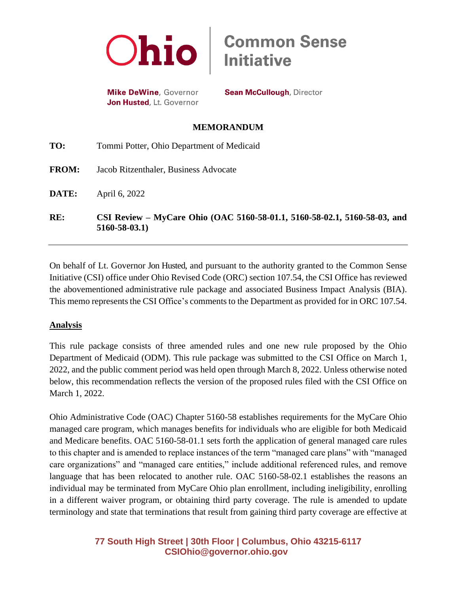

**Mike DeWine, Governor** Jon Husted, Lt. Governor **Sean McCullough, Director** 

**Common Sense<br>Initiative** 

### **MEMORANDUM**

**TO:** Tommi Potter, Ohio Department of Medicaid **FROM:** Jacob Ritzenthaler, Business Advocate **DATE:** April 6, 2022 **RE: CSI Review – MyCare Ohio (OAC 5160-58-01.1, 5160-58-02.1, 5160-58-03, and 5160-58-03.1)**

On behalf of Lt. Governor Jon Husted, and pursuant to the authority granted to the Common Sense Initiative (CSI) office under Ohio Revised Code (ORC) section 107.54, the CSI Office has reviewed the abovementioned administrative rule package and associated Business Impact Analysis (BIA). This memo represents the CSI Office's comments to the Department as provided for in ORC 107.54.

## **Analysis**

This rule package consists of three amended rules and one new rule proposed by the Ohio Department of Medicaid (ODM). This rule package was submitted to the CSI Office on March 1, 2022, and the public comment period was held open through March 8, 2022. Unless otherwise noted below, this recommendation reflects the version of the proposed rules filed with the CSI Office on March 1, 2022.

Ohio Administrative Code (OAC) Chapter 5160-58 establishes requirements for the MyCare Ohio managed care program, which manages benefits for individuals who are eligible for both Medicaid and Medicare benefits. OAC 5160-58-01.1 sets forth the application of general managed care rules to this chapter and is amended to replace instances of the term "managed care plans" with "managed care organizations" and "managed care entities," include additional referenced rules, and remove language that has been relocated to another rule. OAC 5160-58-02.1 establishes the reasons an individual may be terminated from MyCare Ohio plan enrollment, including ineligibility, enrolling in a different waiver program, or obtaining third party coverage. The rule is amended to update terminology and state that terminations that result from gaining third party coverage are effective at

# **77 South High Street | 30th Floor | Columbus, Ohio 43215-6117 [CSIOhio@governor.ohio.gov](mailto:CSIOhio@governor.ohio.gov)**